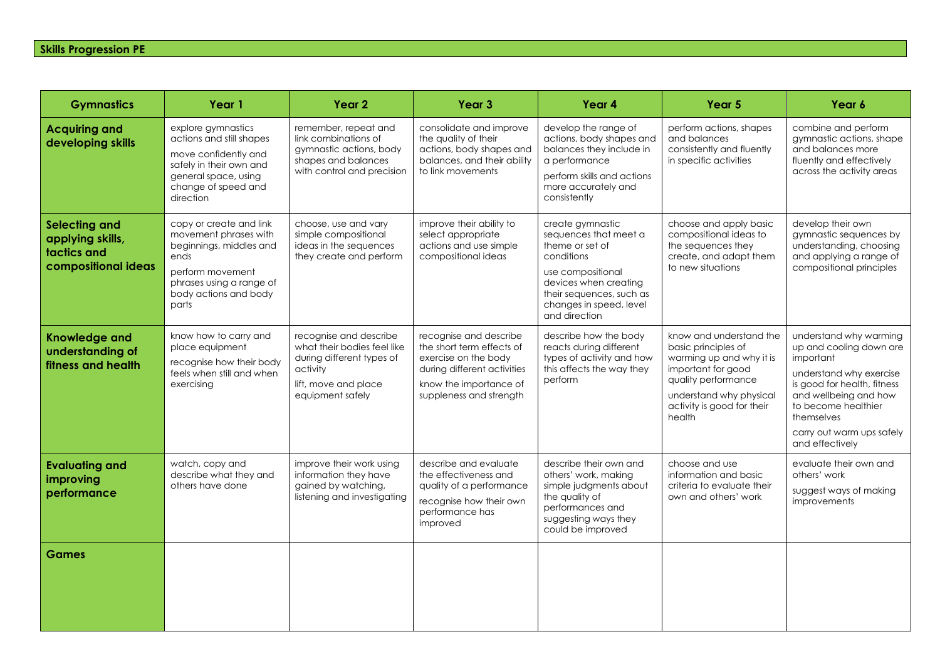## **Skills Progression PE**

| <b>Gymnastics</b>                                                              | Year 1                                                                                                                                                                | Year <sub>2</sub>                                                                                                                          | Year <sub>3</sub>                                                                                                                                               | Year 4                                                                                                                                                                                           | Year 5                                                                                                                                                                                     | Year 6                                                                                                                                                                                                                                 |
|--------------------------------------------------------------------------------|-----------------------------------------------------------------------------------------------------------------------------------------------------------------------|--------------------------------------------------------------------------------------------------------------------------------------------|-----------------------------------------------------------------------------------------------------------------------------------------------------------------|--------------------------------------------------------------------------------------------------------------------------------------------------------------------------------------------------|--------------------------------------------------------------------------------------------------------------------------------------------------------------------------------------------|----------------------------------------------------------------------------------------------------------------------------------------------------------------------------------------------------------------------------------------|
| <b>Acquiring and</b><br>developing skills                                      | explore gymnastics<br>actions and still shapes<br>move confidently and<br>safely in their own and<br>general space, using<br>change of speed and<br>direction         | remember, repeat and<br>link combinations of<br>gymnastic actions, body<br>shapes and balances<br>with control and precision               | consolidate and improve<br>the quality of their<br>actions, body shapes and<br>balances, and their ability<br>to link movements                                 | develop the range of<br>actions, body shapes and<br>balances they include in<br>a performance<br>perform skills and actions<br>more accurately and<br>consistently                               | perform actions, shapes<br>and balances<br>consistently and fluently<br>in specific activities                                                                                             | combine and perform<br>gymnastic actions, shape<br>and balances more<br>fluently and effectively<br>across the activity areas                                                                                                          |
| <b>Selecting and</b><br>applying skills,<br>tactics and<br>compositional ideas | copy or create and link<br>movement phrases with<br>beginnings, middles and<br>ends<br>perform movement<br>phrases using a range of<br>body actions and body<br>parts | choose, use and vary<br>simple compositional<br>ideas in the sequences<br>they create and perform                                          | improve their ability to<br>select appropriate<br>actions and use simple<br>compositional ideas                                                                 | create gymnastic<br>sequences that meet a<br>theme or set of<br>conditions<br>use compositional<br>devices when creating<br>their sequences, such as<br>changes in speed, level<br>and direction | choose and apply basic<br>compositional ideas to<br>the sequences they<br>create, and adapt them<br>to new situations                                                                      | develop their own<br>gymnastic sequences by<br>understanding, choosing<br>and applying a range of<br>compositional principles                                                                                                          |
| <b>Knowledge and</b><br>understanding of<br>fitness and health                 | know how to carry and<br>place equipment<br>recognise how their body<br>feels when still and when<br>exercising                                                       | recognise and describe<br>what their bodies feel like<br>during different types of<br>activity<br>lift, move and place<br>equipment safely | recognise and describe<br>the short term effects of<br>exercise on the body<br>during different activities<br>know the importance of<br>suppleness and strength | describe how the body<br>reacts during different<br>types of activity and how<br>this affects the way they<br>perform                                                                            | know and understand the<br>basic principles of<br>warming up and why it is<br>important for good<br>quality performance<br>understand why physical<br>activity is good for their<br>health | understand why warming<br>up and cooling down are<br>important<br>understand why exercise<br>is good for health, fitness<br>and wellbeing and how<br>to become healthier<br>themselves<br>carry out warm ups safely<br>and effectively |
| <b>Evaluating and</b><br>improving<br>performance                              | watch, copy and<br>describe what they and<br>others have done                                                                                                         | improve their work using<br>information they have<br>gained by watching,<br>listening and investigating                                    | describe and evaluate<br>the effectiveness and<br>quality of a performance<br>recognise how their own<br>performance has<br>improved                            | describe their own and<br>others' work, making<br>simple judgments about<br>the quality of<br>performances and<br>suggesting ways they<br>could be improved                                      | choose and use<br>information and basic<br>criteria to evaluate their<br>own and others' work                                                                                              | evaluate their own and<br>others' work<br>suggest ways of making<br>improvements                                                                                                                                                       |
| Games                                                                          |                                                                                                                                                                       |                                                                                                                                            |                                                                                                                                                                 |                                                                                                                                                                                                  |                                                                                                                                                                                            |                                                                                                                                                                                                                                        |